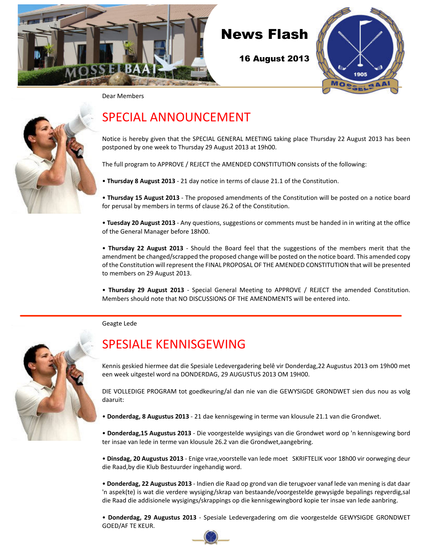



Dear Members



# SPECIAL ANNOUNCEMENT

Notice is hereby given that the SPECIAL GENERAL MEETING taking place Thursday 22 August 2013 has been postponed by one week to Thursday 29 August 2013 at 19h00.

The full program to APPROVE / REJECT the AMENDED CONSTITUTION consists of the following:

• **Thursday 8 August 2013** - 21 day notice in terms of clause 21.1 of the Constitution.

• **Thursday 15 August 2013** - The proposed amendments of the Constitution will be posted on a notice board for perusal by members in terms of clause 26.2 of the Constitution.

• **Tuesday 20 August 2013** - Any questions, suggestions or comments must be handed in in writing at the office of the General Manager before 18h00.

• **Thursday 22 August 2013** - Should the Board feel that the suggestions of the members merit that the amendment be changed/scrapped the proposed change will be posted on the notice board. This amended copy of the Constitution will represent the FINAL PROPOSAL OF THE AMENDED CONSTITUTION that will be presented to members on 29 August 2013.

• **Thursday 29 August 2013** - Special General Meeting to APPROVE / REJECT the amended Constitution. Members should note that NO DISCUSSIONS OF THE AMENDMENTS will be entered into.

Geagte Lede

# SPESIALE KENNISGEWING

Kennis geskied hiermee dat die Spesiale Ledevergadering belê vir Donderdag,22 Augustus 2013 om 19h00 met een week uitgestel word na DONDERDAG, 29 AUGUSTUS 2013 OM 19H00.

DIE VOLLEDIGE PROGRAM tot goedkeuring/al dan nie van die GEWYSIGDE GRONDWET sien dus nou as volg daaruit:

• **Donderdag, 8 Augustus 2013** - 21 dae kennisgewing in terme van klousule 21.1 van die Grondwet.

• **Donderdag,15 Augustus 2013** - Die voorgestelde wysigings van die Grondwet word op 'n kennisgewing bord ter insae van lede in terme van klousule 26.2 van die Grondwet,aangebring.

• **Dinsdag, 20 Augustus 2013** - Enige vrae,voorstelle van lede moet SKRIFTELIK voor 18h00 vir oorweging deur die Raad,by die Klub Bestuurder ingehandig word.

• **Donderdag, 22 Augustus 2013** - Indien die Raad op grond van die terugvoer vanaf lede van mening is dat daar 'n aspek(te) is wat die verdere wysiging/skrap van bestaande/voorgestelde gewysigde bepalings regverdig,sal die Raad die addisionele wysigings/skrappings op die kennisgewingbord kopie ter insae van lede aanbring.

• **Donderdag, 29 Augustus 2013** - Spesiale Ledevergadering om die voorgestelde GEWYSIGDE GRONDWET GOED/AF TE KEUR.

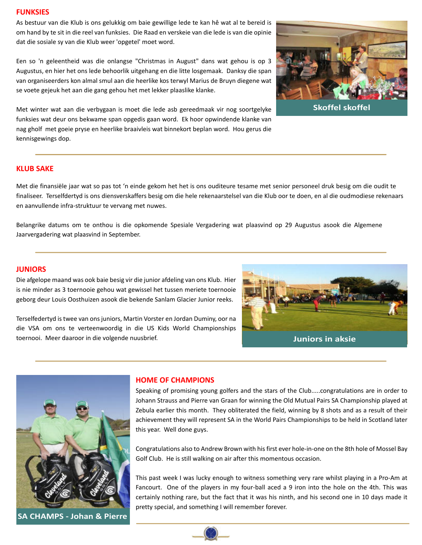#### **FUNKSIES**

As bestuur van die Klub is ons gelukkig om baie gewillige lede te kan hê wat al te bereid is om hand by te sit in die reel van funksies. Die Raad en verskeie van die lede is van die opinie dat die sosiale sy van die Klub weer 'opgetel' moet word.

Een so 'n geleentheid was die onlangse "Christmas in August" dans wat gehou is op 3 Augustus, en hier het ons lede behoorlik uitgehang en die litte losgemaak. Danksy die span van organiseerders kon almal smul aan die heerlike kos terwyl Marius de Bruyn diegene wat se voete gejeuk het aan die gang gehou het met lekker plaaslike klanke.



**Skoffel skoffel**

Met winter wat aan die verbygaan is moet die lede asb gereedmaak vir nog soortgelyke funksies wat deur ons bekwame span opgedis gaan word. Ek hoor opwindende klanke van nag gholf met goeie pryse en heerlike braaivleis wat binnekort beplan word. Hou gerus die kennisgewings dop.

#### **KLUB SAKE**

Met die finansiële jaar wat so pas tot 'n einde gekom het het is ons ouditeure tesame met senior personeel druk besig om die oudit te finaliseer. Terselfdertyd is ons diensverskaffers besig om die hele rekenaarstelsel van die Klub oor te doen, en al die oudmodiese rekenaars en aanvullende infra-struktuur te vervang met nuwes.

Belangrike datums om te onthou is die opkomende Spesiale Vergadering wat plaasvind op 29 Augustus asook die Algemene Jaarvergadering wat plaasvind in September.

#### **JUNIORS**

Die afgelope maand was ook baie besig vir die junior afdeling van ons Klub. Hier is nie minder as 3 toernooie gehou wat gewissel het tussen meriete toernooie geborg deur Louis Oosthuizen asook die bekende Sanlam Glacier Junior reeks.

Terselfedertyd is twee van ons juniors, Martin Vorster en Jordan Duminy, oor na die VSA om ons te verteenwoordig in die US Kids World Championships toernooi. Meer daaroor in die volgende nuusbrief. **Juniors in aksie**





**SA CHAMPS - Johan & Pierre**

#### **HOME OF CHAMPIONS**

Speaking of promising young golfers and the stars of the Club.....congratulations are in order to Johann Strauss and Pierre van Graan for winning the Old Mutual Pairs SA Championship played at Zebula earlier this month. They obliterated the field, winning by 8 shots and as a result of their achievement they will represent SA in the World Pairs Championships to be held in Scotland later this year. Well done guys.

Congratulations also to Andrew Brown with his first ever hole-in-one on the 8th hole of Mossel Bay Golf Club. He is still walking on air after this momentous occasion.

This past week I was lucky enough to witness something very rare whilst playing in a Pro-Am at Fancourt. One of the players in my four-ball aced a 9 iron into the hole on the 4th. This was certainly nothing rare, but the fact that it was his ninth, and his second one in 10 days made it pretty special, and something I will remember forever.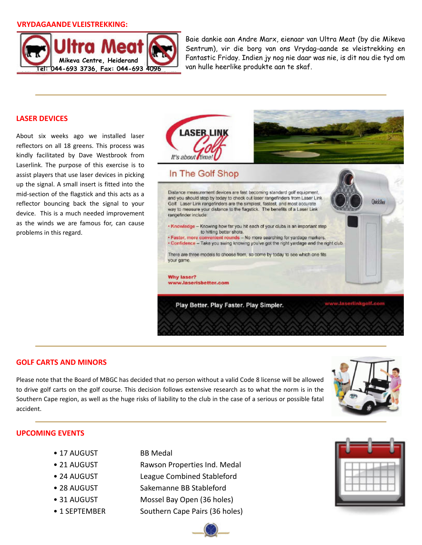#### **VRYDAGAANDE VLEISTREKKING:**



Baie dankie aan Andre Marx, eienaar van Ultra Meat (by die Mikeva Sentrum), vir die borg van ons Vrydag-aande se vleistrekking en Fantastic Friday. Indien jy nog nie daar was nie, is dit nou die tyd om van hulle heerlike produkte aan te skaf.

#### **LASER DEVICES**

About six weeks ago we installed laser reflectors on all 18 greens. This process was kindly facilitated by Dave Westbrook from Laserlink. The purpose of this exercise is to assist players that use laser devices in picking up the signal. A small insert is fitted into the mid-section of the flagstick and this acts as a reflector bouncing back the signal to your device. This is a much needed improvement as the winds we are famous for, can cause problems in this regard.



#### **GOLF CARTS AND MINORS**

Please note that the Board of MBGC has decided that no person without a valid Code 8 license will be allowed to drive golf carts on the golf course. This decision follows extensive research as to what the norm is in the Southern Cape region, as well as the huge risks of liability to the club in the case of a serious or possible fatal accident.



#### **UPCOMING EVENTS**

- 17 AUGUST BB Medal
- 
- 
- 
- 
- 
- 
- 21 AUGUST Rawson Properties Ind. Medal
- 24 AUGUST League Combined Stableford
- 28 AUGUST Sakemanne BB Stableford
- 31 AUGUST Mossel Bay Open (36 holes)
- 1 SEPTEMBER Southern Cape Pairs (36 holes)



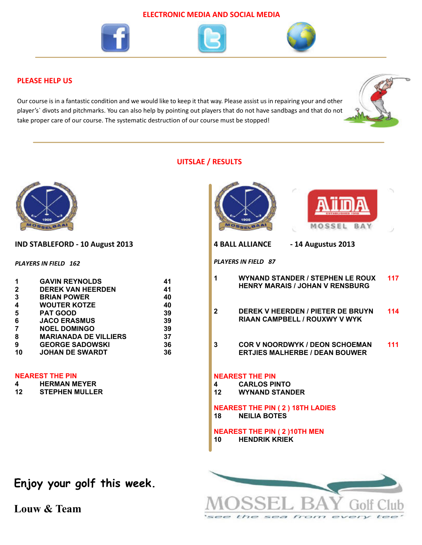#### **ELECTRONIC MEDIA AND SOCIAL MEDIA**







### **PLEASE HELP US**

Our course is in a fantastic condition and we would like to keep it that way. Please assist us in repairing your and other player's` divots and pitchmarks. You can also help by pointing out players that do not have sandbags and that do not take proper care of our course. The systematic destruction of our course must be stopped!



### **UITSLAE / RESULTS**



 $t$ 

SOF

 $f$ rom

**Allian** 



**Louw & Team**